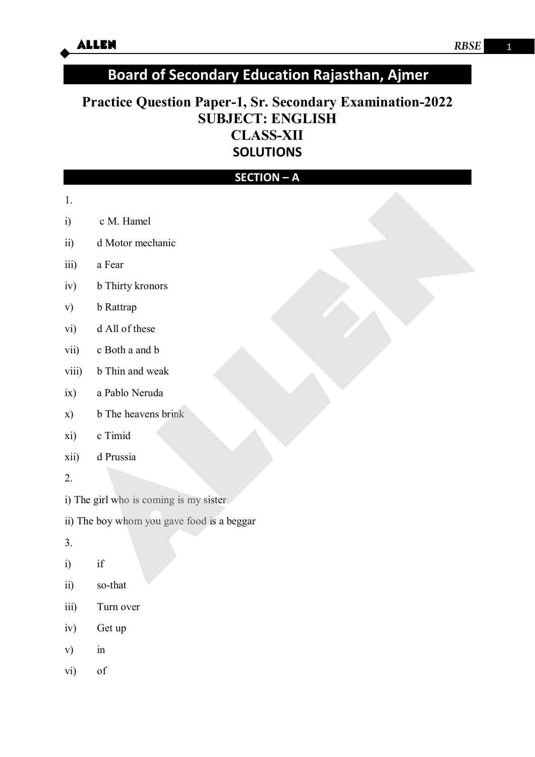# **Board of Secondary Education Rajasthan, Ajmer**

# **Practice Question Paper-1, Sr. Secondary Examination-2022 SUBJECT: ENGLISH CLASS-XII SOLUTIONS**

| <b>SECTION - A</b>                     |                                            |  |  |  |  |  |  |
|----------------------------------------|--------------------------------------------|--|--|--|--|--|--|
| 1.                                     |                                            |  |  |  |  |  |  |
| i)                                     | c M. Hamel                                 |  |  |  |  |  |  |
| ii)                                    | d Motor mechanic                           |  |  |  |  |  |  |
| iii)                                   | a Fear                                     |  |  |  |  |  |  |
| iv)                                    | b Thirty kronors                           |  |  |  |  |  |  |
| v)                                     | <b>b</b> Rattrap                           |  |  |  |  |  |  |
| vi)                                    | d All of these                             |  |  |  |  |  |  |
| vii)                                   | c Both a and b                             |  |  |  |  |  |  |
| viii)                                  | b Thin and weak                            |  |  |  |  |  |  |
| ix)                                    | a Pablo Neruda                             |  |  |  |  |  |  |
| x)                                     | b The heavens brink                        |  |  |  |  |  |  |
| xi)                                    | c Timid                                    |  |  |  |  |  |  |
| xii)                                   | d Prussia                                  |  |  |  |  |  |  |
| 2.                                     |                                            |  |  |  |  |  |  |
| i) The girl who is coming is my sister |                                            |  |  |  |  |  |  |
|                                        | ii) The boy whom you gave food is a beggar |  |  |  |  |  |  |
| 3.                                     |                                            |  |  |  |  |  |  |
| i)                                     | $\operatorname{if}$                        |  |  |  |  |  |  |
| $\overline{ii}$                        | so-that                                    |  |  |  |  |  |  |
| iii)                                   | Turn over                                  |  |  |  |  |  |  |
| iv)                                    | Get up                                     |  |  |  |  |  |  |
| $\mathbf{v})$                          | $\operatorname{in}$                        |  |  |  |  |  |  |
| vi)                                    | of                                         |  |  |  |  |  |  |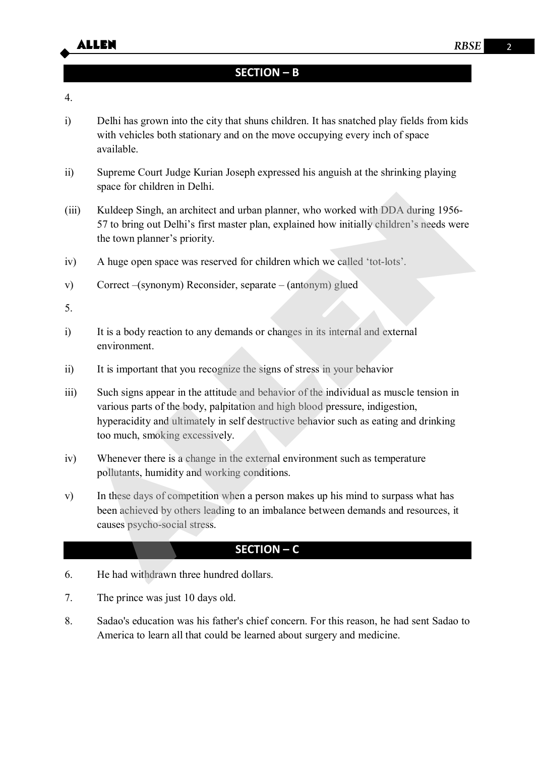## **SECTION – B**

#### 4.

- i) Delhi has grown into the city that shuns children. It has snatched play fields from kids with vehicles both stationary and on the move occupying every inch of space available.
- ii) Supreme Court Judge Kurian Joseph expressed his anguish at the shrinking playing space for children in Delhi.
- (iii) Kuldeep Singh, an architect and urban planner, who worked with DDA during 1956- 57 to bring out Delhi's first master plan, explained how initially children's needs were the town planner's priority.
- iv) A huge open space was reserved for children which we called 'tot-lots'.
- v) Correct –(synonym) Reconsider, separate (antonym) glued

5.

- i) It is a body reaction to any demands or changes in its internal and external environment.
- ii) It is important that you recognize the signs of stress in your behavior
- iii) Such signs appear in the attitude and behavior of the individual as muscle tension in various parts of the body, palpitation and high blood pressure, indigestion, hyperacidity and ultimately in self destructive behavior such as eating and drinking too much, smoking excessively. space to entaric in Example.<br>
iii) Kuldeep Singh, has a recharged to which and urban planner, who worked with DDA during 1956-<br>
S7 to bring out Delhi's first master plan, explained how initially children's needs were<br>
the
- iv) Whenever there is a change in the external environment such as temperature pollutants, humidity and working conditions.
- v) In these days of competition when a person makes up his mind to surpass what has been achieved by others leading to an imbalance between demands and resources, it causes psycho-social stress.

### **SECTION – C**

- 6. He had withdrawn three hundred dollars.
- 7. The prince was just 10 days old.
- 8. Sadao's education was his father's chief concern. For this reason, he had sent Sadao to America to learn all that could be learned about surgery and medicine.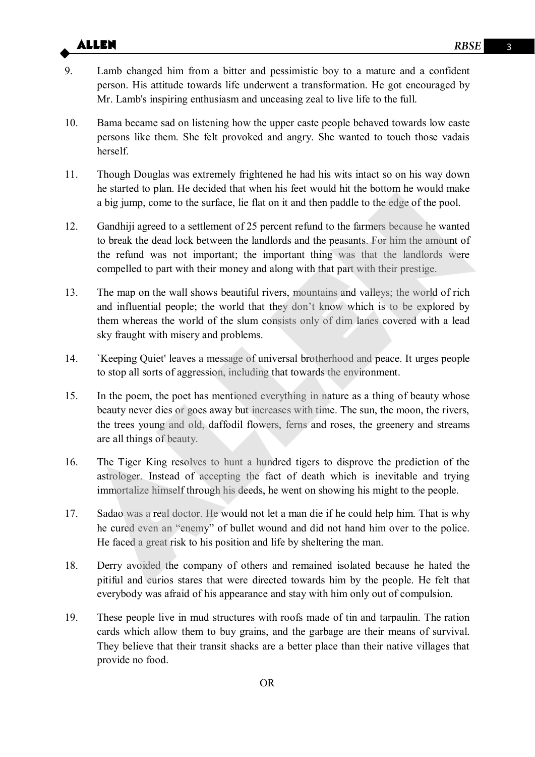# **ALLEN** RBSE 3

- 9. Lamb changed him from a bitter and pessimistic boy to a mature and a confident person. His attitude towards life underwent a transformation. He got encouraged by Mr. Lamb's inspiring enthusiasm and unceasing zeal to live life to the full.
- 10. Bama became sad on listening how the upper caste people behaved towards low caste persons like them. She felt provoked and angry. She wanted to touch those vadais herself.
- 11. Though Douglas was extremely frightened he had his wits intact so on his way down he started to plan. He decided that when his feet would hit the bottom he would make a big jump, come to the surface, lie flat on it and then paddle to the edge of the pool.
- 12. Gandhiji agreed to a settlement of 25 percent refund to the farmers because he wanted to break the dead lock between the landlords and the peasants. For him the amount of the refund was not important; the important thing was that the landlords were compelled to part with their money and along with that part with their prestige. In state to pain. In eactive tunk when in set wout in the bottom in the bottom and the signing, come to the surface, lie flat on it and then paddle to the edge of the pool.<br>
2. Gandhiji agreed to a settlement of 25 percen
- 13. The map on the wall shows beautiful rivers, mountains and valleys; the world of rich and influential people; the world that they don't know which is to be explored by them whereas the world of the slum consists only of dim lanes covered with a lead sky fraught with misery and problems.
- 14. `Keeping Quiet' leaves a message of universal brotherhood and peace. It urges people to stop all sorts of aggression, including that towards the environment.
- 15. In the poem, the poet has mentioned everything in nature as a thing of beauty whose beauty never dies or goes away but increases with time. The sun, the moon, the rivers, the trees young and old, daffodil flowers, ferns and roses, the greenery and streams are all things of beauty.
- 16. The Tiger King resolves to hunt a hundred tigers to disprove the prediction of the astrologer. Instead of accepting the fact of death which is inevitable and trying immortalize himself through his deeds, he went on showing his might to the people.
- 17. Sadao was a real doctor. He would not let a man die if he could help him. That is why he cured even an "enemy" of bullet wound and did not hand him over to the police. He faced a great risk to his position and life by sheltering the man.
- 18. Derry avoided the company of others and remained isolated because he hated the pitiful and curios stares that were directed towards him by the people. He felt that everybody was afraid of his appearance and stay with him only out of compulsion.
- 19. These people live in mud structures with roofs made of tin and tarpaulin. The ration cards which allow them to buy grains, and the garbage are their means of survival. They believe that their transit shacks are a better place than their native villages that provide no food.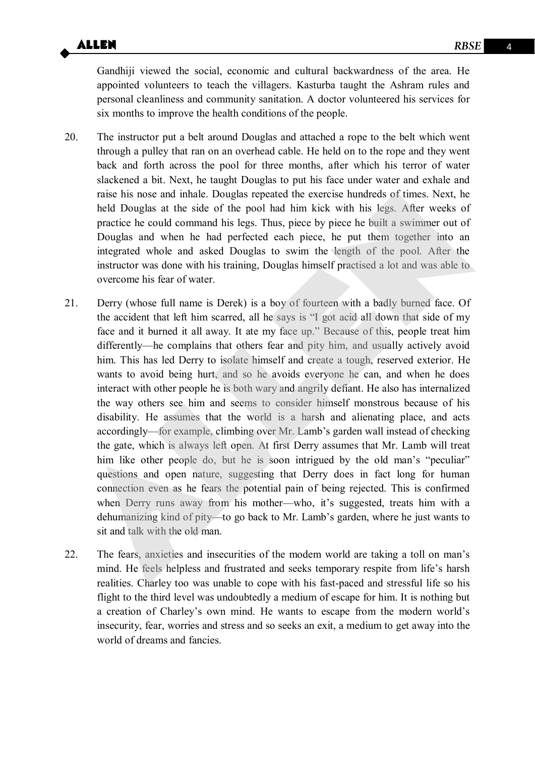Gandhiji viewed the social, economic and cultural backwardness of the area. He appointed volunteers to teach the villagers. Kasturba taught the Ashram rules and personal cleanliness and community sanitation. A doctor volunteered his services for six months to improve the health conditions of the people.

- 20. The instructor put a belt around Douglas and attached a rope to the belt which went through a pulley that ran on an overhead cable. He held on to the rope and they went back and forth across the pool for three months, after which his terror of water slackened a bit. Next, he taught Douglas to put his face under water and exhale and raise his nose and inhale. Douglas repeated the exercise hundreds of times. Next, he held Douglas at the side of the pool had him kick with his legs. After weeks of practice he could command his legs. Thus, piece by piece he built a swimmer out of Douglas and when he had perfected each piece, he put them together into an integrated whole and asked Douglas to swim the length of the pool. After the instructor was done with his training, Douglas himself practised a lot and was able to overcome his fear of water.
- 21. Derry (whose full name is Derek) is a boy of fourteen with a badly burned face. Of the accident that left him scarred, all he says is "I got acid all down that side of my face and it burned it all away. It ate my face up." Because of this, people treat him differently—he complains that others fear and pity him, and usually actively avoid him. This has led Derry to isolate himself and create a tough, reserved exterior. He wants to avoid being hurt, and so he avoids everyone he can, and when he does interact with other people he is both wary and angrily defiant. He also has internalized the way others see him and seems to consider himself monstrous because of his disability. He assumes that the world is a harsh and alienating place, and acts accordingly—for example, climbing over Mr. Lamb's garden wall instead of checking the gate, which is always left open. At first Derry assumes that Mr. Lamb will treat him like other people do, but he is soon intrigued by the old man's "peculiar" questions and open nature, suggesting that Derry does in fact long for human connection even as he fears the potential pain of being rejected. This is confirmed when Derry runs away from his mother—who, it's suggested, treats him with a dehumanizing kind of pity—to go back to Mr. Lamb's garden, where he just wants to sit and talk with the old man. raise his nose and inhale. Douglas repeated the exercise hundreds of times. Next, he<br>held Douglas at the side of the pool had him kick with his legs. After weeks of<br>practice he could command his legs. Thus, piece by piece
- 22. The fears, anxieties and insecurities of the modem world are taking a toll on man's mind. He feels helpless and frustrated and seeks temporary respite from life's harsh realities. Charley too was unable to cope with his fast-paced and stressful life so his flight to the third level was undoubtedly a medium of escape for him. It is nothing but a creation of Charley's own mind. He wants to escape from the modern world's insecurity, fear, worries and stress and so seeks an exit, a medium to get away into the world of dreams and fancies.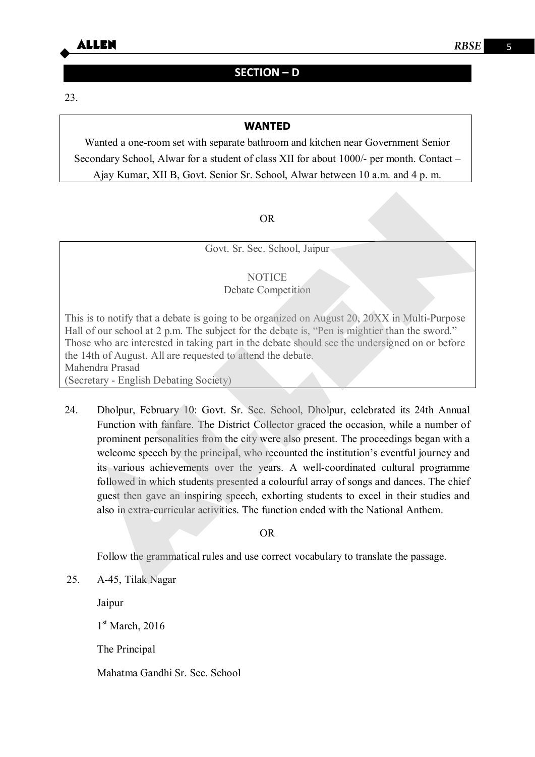

### **SECTION – D**

23.

#### **WANTED**

Wanted a one-room set with separate bathroom and kitchen near Government Senior Secondary School, Alwar for a student of class XII for about 1000/- per month. Contact – Ajay Kumar, XII B, Govt. Senior Sr. School, Alwar between 10 a.m. and 4 p. m.

#### OR

Govt. Sr. Sec. School, Jaipur

#### **NOTICE**

#### Debate Competition

This is to notify that a debate is going to be organized on August 20, 20XX in Multi-Purpose Hall of our school at 2 p.m. The subject for the debate is, "Pen is mightier than the sword." Those who are interested in taking part in the debate should see the undersigned on or before the 14th of August. All are requested to attend the debate. Mahendra Prasad (Secretary - English Debating Society)

24. Dholpur, February 10: Govt. Sr. Sec. School, Dholpur, celebrated its 24th Annual Function with fanfare. The District Collector graced the occasion, while a number of prominent personalities from the city were also present. The proceedings began with a welcome speech by the principal, who recounted the institution's eventful journey and its various achievements over the years. A well-coordinated cultural programme followed in which students presented a colourful array of songs and dances. The chief guest then gave an inspiring speech, exhorting students to excel in their studies and also in extra-curricular activities. The function ended with the National Anthem. ALLEN

#### OR

Follow the grammatical rules and use correct vocabulary to translate the passage.

25. A-45, Tilak Nagar

Jaipur

 $1<sup>st</sup> March$ , 2016

The Principal

Mahatma Gandhi Sr. Sec. School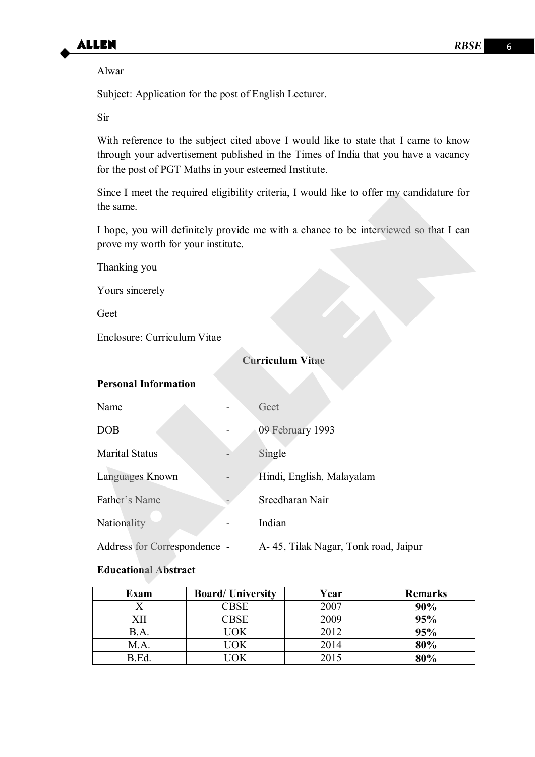

Alwar

Subject: Application for the post of English Lecturer.

Sir

With reference to the subject cited above I would like to state that I came to know through your advertisement published in the Times of India that you have a vacancy for the post of PGT Maths in your esteemed Institute.

#### **Curriculum Vitae**

#### **Personal Information**

| Since I meet the required eligibility criteria, I would like to offer my candidature for<br>the same.                      |  |                                       |  |  |  |  |
|----------------------------------------------------------------------------------------------------------------------------|--|---------------------------------------|--|--|--|--|
| I hope, you will definitely provide me with a chance to be interviewed so that I can<br>prove my worth for your institute. |  |                                       |  |  |  |  |
| Thanking you                                                                                                               |  |                                       |  |  |  |  |
| Yours sincerely                                                                                                            |  |                                       |  |  |  |  |
| Geet                                                                                                                       |  |                                       |  |  |  |  |
| Enclosure: Curriculum Vitae                                                                                                |  |                                       |  |  |  |  |
| <b>Curriculum Vitae</b>                                                                                                    |  |                                       |  |  |  |  |
| <b>Personal Information</b>                                                                                                |  |                                       |  |  |  |  |
| Name                                                                                                                       |  | Geet                                  |  |  |  |  |
| <b>DOB</b>                                                                                                                 |  | 09 February 1993                      |  |  |  |  |
| <b>Marital Status</b>                                                                                                      |  | Single                                |  |  |  |  |
| Languages Known                                                                                                            |  | Hindi, English, Malayalam             |  |  |  |  |
| Father's Name                                                                                                              |  | Sreedharan Nair                       |  |  |  |  |
| Nationality                                                                                                                |  | Indian                                |  |  |  |  |
| Address for Correspondence -                                                                                               |  | A- 45, Tilak Nagar, Tonk road, Jaipur |  |  |  |  |
| <b>Educational Abstract</b>                                                                                                |  |                                       |  |  |  |  |
|                                                                                                                            |  |                                       |  |  |  |  |

#### **Educational Abstract**

| Exam | <b>Board/University</b>                    | Year | <b>Remarks</b> |
|------|--------------------------------------------|------|----------------|
|      | $C$ BSE                                    | 2007 | 90%            |
|      | $\mathbb{C}\mathsf{B}\mathsf{S}\mathsf{E}$ | 2009 | 95%            |
| B.A. | $'$ <sup>I</sup> OK                        | 2012 | 95%            |
| M.A. | $'$ IOK                                    | 2014 | 80%            |
| R Ed | ∩K                                         | 2015 | 80%            |